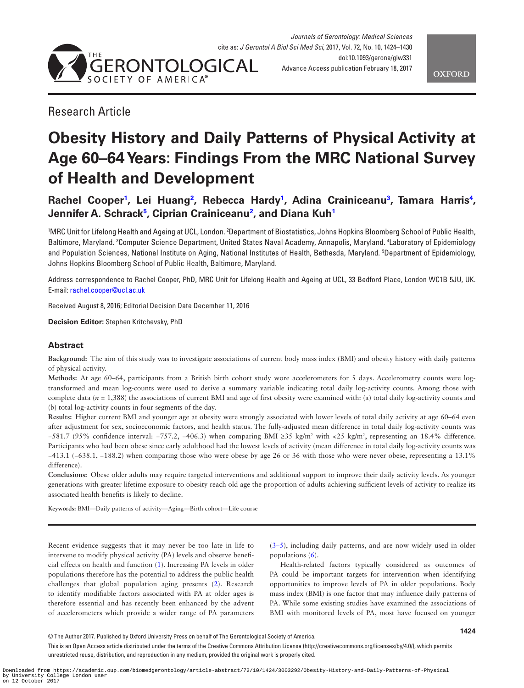

# Research Article

# **Obesity History and Daily Patterns of Physical Activity at Age 60–64 Years: Findings From the MRC National Survey of Health and Development**

# **Rachel Coope[r1](#page-0-0) , Lei Huan[g2](#page-0-1) , Rebecca Hard[y1](#page-0-0) , Adina Crainiceanu[3](#page-0-2) , Tamara Harris[4](#page-0-3) , Jennifer A. Schrack[5](#page-0-4) , Ciprian Crainiceanu[2](#page-0-1) , and Diana Ku[h1](#page-0-0)**

<span id="page-0-4"></span><span id="page-0-3"></span><span id="page-0-2"></span><span id="page-0-1"></span><span id="page-0-0"></span>'MRC Unit for Lifelong Health and Ageing at UCL, London. <sup>2</sup>Department of Biostatistics, Johns Hopkins Bloomberg School of Public Health, Baltimore, Maryland. 3 Computer Science Department, United States Naval Academy, Annapolis, Maryland. 4 Laboratory of Epidemiology and Population Sciences, National Institute on Aging, National Institutes of Health, Bethesda, Maryland. 5 Department of Epidemiology, Johns Hopkins Bloomberg School of Public Health, Baltimore, Maryland.

Address correspondence to Rachel Cooper, PhD, MRC Unit for Lifelong Health and Ageing at UCL, 33 Bedford Place, London WC1B 5JU, UK. E-mail: [rachel.cooper@ucl.ac.uk](mailto:rachel.cooper@ucl.ac.uk?subject=)

Received August 8, 2016; Editorial Decision Date December 11, 2016

**Decision Editor:** Stephen Kritchevsky, PhD

# **Abstract**

**Background:** The aim of this study was to investigate associations of current body mass index (BMI) and obesity history with daily patterns of physical activity.

**Methods:** At age 60–64, participants from a British birth cohort study wore accelerometers for 5 days. Accelerometry counts were logtransformed and mean log-counts were used to derive a summary variable indicating total daily log-activity counts. Among those with complete data ( $n = 1,388$ ) the associations of current BMI and age of first obesity were examined with: (a) total daily log-activity counts and (b) total log-activity counts in four segments of the day.

**Results:** Higher current BMI and younger age at obesity were strongly associated with lower levels of total daily activity at age 60–64 even after adjustment for sex, socioeconomic factors, and health status. The fully-adjusted mean difference in total daily log-activity counts was −581.7 (95% confidence interval: −757.2, −406.3) when comparing BMI ≥35 kg/m2 with <25 kg/m2 , representing an 18.4% difference. Participants who had been obese since early adulthood had the lowest levels of activity (mean difference in total daily log-activity counts was −413.1 (−638.1, −188.2) when comparing those who were obese by age 26 or 36 with those who were never obese, representing a 13.1% difference).

**Conclusions:** Obese older adults may require targeted interventions and additional support to improve their daily activity levels. As younger generations with greater lifetime exposure to obesity reach old age the proportion of adults achieving sufficient levels of activity to realize its associated health benefits is likely to decline.

**Keywords:** BMI—Daily patterns of activity—Aging—Birth cohort—Life course

Recent evidence suggests that it may never be too late in life to intervene to modify physical activity (PA) levels and observe beneficial effects on health and function ([1](#page-5-0)). Increasing PA levels in older populations therefore has the potential to address the public health challenges that global population aging presents [\(2\)](#page-5-1). Research to identify modifiable factors associated with PA at older ages is therefore essential and has recently been enhanced by the advent of accelerometers which provide a wider range of PA parameters [\(3–5](#page-5-2)), including daily patterns, and are now widely used in older populations ([6](#page-5-3)).

Health-related factors typically considered as outcomes of PA could be important targets for intervention when identifying opportunities to improve levels of PA in older populations. Body mass index (BMI) is one factor that may influence daily patterns of PA. While some existing studies have examined the associations of BMI with monitored levels of PA, most have focused on younger

This is an Open Access article distributed under the terms of the Creative Commons Attribution License (http://creativecommons.org/licenses/by/4.0/), which permits unrestricted reuse, distribution, and reproduction in any medium, provided the original work is properly cited.

<sup>©</sup> The Author 2017. Published by Oxford University Press on behalf of The Gerontological Society of America.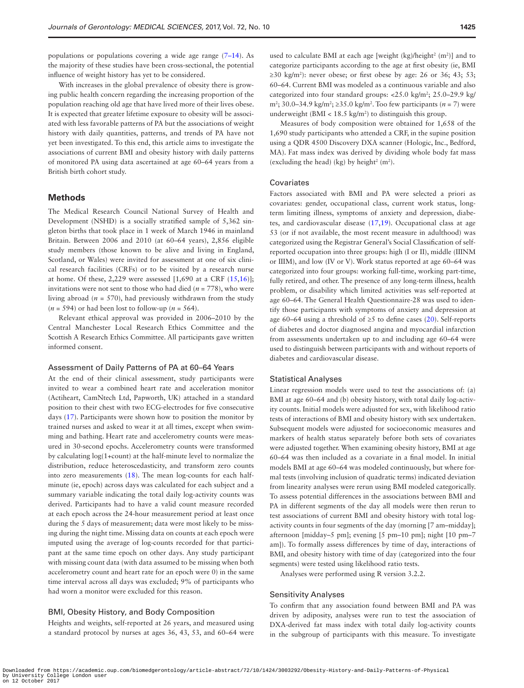With increases in the global prevalence of obesity there is growing public health concern regarding the increasing proportion of the population reaching old age that have lived more of their lives obese. It is expected that greater lifetime exposure to obesity will be associated with less favorable patterns of PA but the associations of weight history with daily quantities, patterns, and trends of PA have not yet been investigated. To this end, this article aims to investigate the associations of current BMI and obesity history with daily patterns of monitored PA using data ascertained at age 60–64 years from a British birth cohort study.

#### **Methods**

The Medical Research Council National Survey of Health and Development (NSHD) is a socially stratified sample of 5,362 singleton births that took place in 1 week of March 1946 in mainland Britain. Between 2006 and 2010 (at 60–64 years), 2,856 eligible study members (those known to be alive and living in England, Scotland, or Wales) were invited for assessment at one of six clinical research facilities (CRFs) or to be visited by a research nurse at home. Of these, 2,229 were assessed  $[1,690$  at a CRF  $(15,16)$  $(15,16)$  $(15,16)$ ]; invitations were not sent to those who had died ( $n = 778$ ), who were living abroad ( $n = 570$ ), had previously withdrawn from the study  $(n = 594)$  or had been lost to follow-up  $(n = 564)$ .

Relevant ethical approval was provided in 2006–2010 by the Central Manchester Local Research Ethics Committee and the Scottish A Research Ethics Committee. All participants gave written informed consent.

#### Assessment of Daily Patterns of PA at 60–64 Years

At the end of their clinical assessment, study participants were invited to wear a combined heart rate and acceleration monitor (Actiheart, CamNtech Ltd, Papworth, UK) attached in a standard position to their chest with two ECG-electrodes for five consecutive days [\(17](#page-6-1)). Participants were shown how to position the monitor by trained nurses and asked to wear it at all times, except when swimming and bathing. Heart rate and accelerometry counts were measured in 30-second epochs. Accelerometry counts were transformed by calculating log(1+count) at the half-minute level to normalize the distribution, reduce heteroscedasticity, and transform zero counts into zero measurements ([18\)](#page-6-2). The mean log-counts for each halfminute (ie, epoch) across days was calculated for each subject and a summary variable indicating the total daily log-activity counts was derived. Participants had to have a valid count measure recorded at each epoch across the 24-hour measurement period at least once during the 5 days of measurement; data were most likely to be missing during the night time. Missing data on counts at each epoch were imputed using the average of log-counts recorded for that participant at the same time epoch on other days. Any study participant with missing count data (with data assumed to be missing when both accelerometry count and heart rate for an epoch were 0) in the same time interval across all days was excluded; 9% of participants who had worn a monitor were excluded for this reason.

## BMI, Obesity History, and Body Composition

Heights and weights, self-reported at 26 years, and measured using a standard protocol by nurses at ages 36, 43, 53, and 60–64 were

used to calculate BMI at each age [weight  $(kg)/height<sup>2</sup> (m<sup>2</sup>)]$  and to categorize participants according to the age at first obesity (ie, BMI  $\geq$ 30 kg/m<sup>2</sup>): never obese; or first obese by age: 26 or 36; 43; 53; 60–64. Current BMI was modeled as a continuous variable and also categorized into four standard groups: <25.0 kg/m<sup>2</sup>; 25.0–29.9 kg/ m<sup>2</sup>; 30.0–34.9 kg/m<sup>2</sup>; ≥35.0 kg/m<sup>2</sup>. Too few participants (*n* = 7) were underweight (BMI <  $18.5 \text{ kg/m}^2$ ) to distinguish this group.

Measures of body composition were obtained for 1,658 of the 1,690 study participants who attended a CRF, in the supine position using a QDR 4500 Discovery DXA scanner (Hologic, Inc., Bedford, MA). Fat mass index was derived by dividing whole body fat mass (excluding the head) (kg) by height<sup>2</sup> (m<sup>2</sup>).

#### Covariates

Factors associated with BMI and PA were selected a priori as covariates: gender, occupational class, current work status, longterm limiting illness, symptoms of anxiety and depression, diabetes, and cardiovascular disease [\(17](#page-6-1),[19](#page-6-3)). Occupational class at age 53 (or if not available, the most recent measure in adulthood) was categorized using the Registrar General's Social Classification of selfreported occupation into three groups: high (I or II), middle (IIINM or IIIM), and low (IV or V). Work status reported at age 60–64 was categorized into four groups: working full-time, working part-time, fully retired, and other. The presence of any long-term illness, health problem, or disability which limited activities was self-reported at age 60–64. The General Health Questionnaire-28 was used to identify those participants with symptoms of anxiety and depression at age 60–64 using a threshold of  $\geq$ 5 to define cases ([20\)](#page-6-4). Self-reports of diabetes and doctor diagnosed angina and myocardial infarction from assessments undertaken up to and including age 60–64 were used to distinguish between participants with and without reports of diabetes and cardiovascular disease.

#### Statistical Analyses

Linear regression models were used to test the associations of: (a) BMI at age 60–64 and (b) obesity history, with total daily log-activity counts. Initial models were adjusted for sex, with likelihood ratio tests of interactions of BMI and obesity history with sex undertaken. Subsequent models were adjusted for socioeconomic measures and markers of health status separately before both sets of covariates were adjusted together. When examining obesity history, BMI at age 60–64 was then included as a covariate in a final model. In initial models BMI at age 60–64 was modeled continuously, but where formal tests (involving inclusion of quadratic terms) indicated deviation from linearity analyses were rerun using BMI modeled categorically. To assess potential differences in the associations between BMI and PA in different segments of the day all models were then rerun to test associations of current BMI and obesity history with total logactivity counts in four segments of the day (morning [7 am–midday]; afternoon [midday–5 pm]; evening [5 pm–10 pm]; night [10 pm–7 am]). To formally assess differences by time of day, interactions of BMI, and obesity history with time of day (categorized into the four segments) were tested using likelihood ratio tests.

Analyses were performed using R version 3.2.2.

#### Sensitivity Analyses

To confirm that any association found between BMI and PA was driven by adiposity, analyses were run to test the association of DXA-derived fat mass index with total daily log-activity counts in the subgroup of participants with this measure. To investigate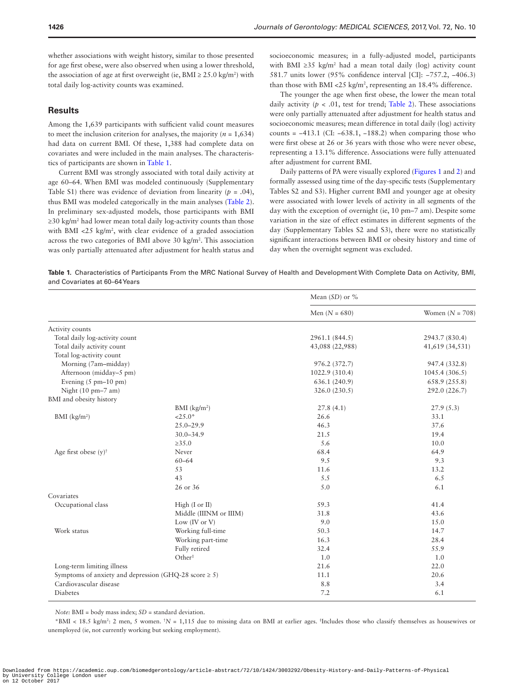whether associations with weight history, similar to those presented for age first obese, were also observed when using a lower threshold, the association of age at first overweight (ie,  $BMI \geq 25.0 \text{ kg/m}^2$ ) with total daily log-activity counts was examined.

#### **Results**

Among the 1,639 participants with sufficient valid count measures to meet the inclusion criterion for analyses, the majority ( $n = 1,634$ ) had data on current BMI. Of these, 1,388 had complete data on covariates and were included in the main analyses. The characteristics of participants are shown in [Table 1.](#page-2-0)

Current BMI was strongly associated with total daily activity at age 60–64. When BMI was modeled continuously (Supplementary Table S1) there was evidence of deviation from linearity  $(p = .04)$ , thus BMI was modeled categorically in the main analyses [\(Table 2](#page-3-0)). In preliminary sex-adjusted models, those participants with BMI ≥30 kg/m2 had lower mean total daily log-activity counts than those with BMI  $\langle 25 \text{ kg/m}^2$ , with clear evidence of a graded association across the two categories of BMI above 30 kg/m<sup>2</sup>. This association was only partially attenuated after adjustment for health status and socioeconomic measures; in a fully-adjusted model, participants with BMI ≥35  $kg/m<sup>2</sup>$  had a mean total daily (log) activity count 581.7 units lower (95% confidence interval [CI]: −757.2, −406.3) than those with BMI <25 kg/m<sup>2</sup>, representing an 18.4% difference.

The younger the age when first obese, the lower the mean total daily activity ( $p < .01$ , test for trend; [Table 2](#page-3-0)). These associations were only partially attenuated after adjustment for health status and socioeconomic measures; mean difference in total daily (log) activity counts =  $-413.1$  (CI:  $-638.1$ ,  $-188.2$ ) when comparing those who were first obese at 26 or 36 years with those who were never obese, representing a 13.1% difference. Associations were fully attenuated after adjustment for current BMI.

Daily patterns of PA were visually explored ([Figures 1](#page-4-0) and [2](#page-4-1)) and formally assessed using time of the day-specific tests (Supplementary Tables S2 and S3). Higher current BMI and younger age at obesity were associated with lower levels of activity in all segments of the day with the exception of overnight (ie, 10 pm–7 am). Despite some variation in the size of effect estimates in different segments of the day (Supplementary Tables S2 and S3), there were no statistically significant interactions between BMI or obesity history and time of day when the overnight segment was excluded.

<span id="page-2-0"></span>**Table 1.** Characteristics of Participants From the MRC National Survey of Health and Development With Complete Data on Activity, BMI, and Covariates at 60–64 Years

|                                                           |                            | Mean $(SD)$ or % |                   |
|-----------------------------------------------------------|----------------------------|------------------|-------------------|
|                                                           |                            | Men $(N = 680)$  | Women $(N = 708)$ |
| Activity counts                                           |                            |                  |                   |
| Total daily log-activity count                            |                            | 2961.1 (844.5)   | 2943.7 (830.4)    |
| Total daily activity count                                |                            | 43,088 (22,988)  | 41,619 (34,531)   |
| Total log-activity count                                  |                            |                  |                   |
| Morning (7am-midday)                                      |                            | 976.2 (372.7)    | 947.4 (332.8)     |
| Afternoon (midday-5 pm)                                   |                            | 1022.9 (310.4)   | 1045.4(306.5)     |
| Evening $(5 \text{ pm}-10 \text{ pm})$                    |                            | 636.1 (240.9)    | 658.9 (255.8)     |
| Night (10 pm-7 am)                                        |                            | 326.0 (230.5)    | 292.0 (226.7)     |
| BMI and obesity history                                   |                            |                  |                   |
|                                                           | $BMI$ (kg/m <sup>2</sup> ) | 27.8(4.1)        | 27.9(5.3)         |
| BMI (kg/m <sup>2</sup> )                                  | $<25.0*$                   | 26.6             | 33.1              |
|                                                           | $25.0 - 29.9$              | 46.3             | 37.6              |
|                                                           | $30.0 - 34.9$              | 21.5             | 19.4              |
|                                                           | $\ge 35.0$                 | 5.6              | 10.0              |
| Age first obese $(y)^\dagger$                             | Never                      | 68.4             | 64.9              |
|                                                           | $60 - 64$                  | 9.5              | 9.3               |
|                                                           | 53                         | 11.6             | 13.2              |
|                                                           | 43                         | 5.5              | 6.5               |
|                                                           | 26 or 36                   | 5.0              | 6.1               |
| Covariates                                                |                            |                  |                   |
| Occupational class                                        | High (I or II)             | 59.3             | 41.4              |
|                                                           | Middle (IIINM or IIIM)     | 31.8             | 43.6              |
|                                                           | Low (IV or V)              | 9.0              | 15.0              |
| Work status                                               | Working full-time          | 50.3             | 14.7              |
|                                                           | Working part-time          | 16.3             | 28.4              |
|                                                           | Fully retired              | 32.4             | 55.9              |
|                                                           | Other <sup>#</sup>         | 1.0              | 1.0               |
| Long-term limiting illness                                |                            | 21.6             | 22.0              |
| Symptoms of anxiety and depression (GHQ-28 score $\ge$ 5) |                            | 11.1             | 20.6              |
| Cardiovascular disease                                    |                            | 8.8              | 3.4               |
| Diabetes                                                  |                            | 7.2              | 6.1               |

*Note:* BMI = body mass index; *SD* = standard deviation.

\*BMI < 18.5 kg/m<sup>2</sup>: 2 men, 5 women. <sup>†</sup>N = 1,115 due to missing data on BMI at earlier ages. <sup>‡</sup>Includes those who classify themselves as housewives or unemployed (ie, not currently working but seeking employment).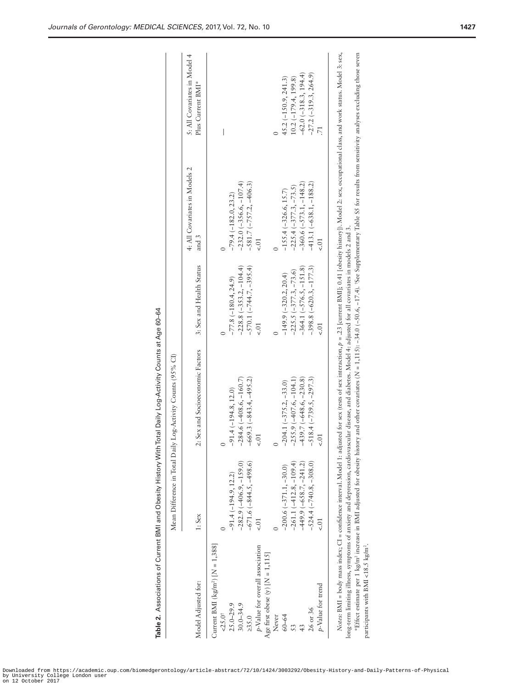|                                             |                           | Mean Difference in Total Daily Log-Activity Counts (95% CI)                                                                                                                                                                                                                                                                                                                                    |                           |                                        |                                                   |
|---------------------------------------------|---------------------------|------------------------------------------------------------------------------------------------------------------------------------------------------------------------------------------------------------------------------------------------------------------------------------------------------------------------------------------------------------------------------------------------|---------------------------|----------------------------------------|---------------------------------------------------|
| Model Adjusted for:                         | $1:$ Sex                  | 2: Sex and Socioeconomic Factors                                                                                                                                                                                                                                                                                                                                                               | 3: Sex and Health Status  | 4: All Covariates in Models 2<br>and 3 | 5: All Covariates in Model 4<br>Plus Current BMI* |
| Current BMI ( $\text{kg/m}^2$ ) [N = 1,388] |                           |                                                                                                                                                                                                                                                                                                                                                                                                |                           |                                        |                                                   |
| $-25.0$                                     |                           |                                                                                                                                                                                                                                                                                                                                                                                                |                           |                                        | I                                                 |
| $25.0 - 29.9$                               | $-91.4(-194.9, 12.2)$     | $-91.4(-194.8, 12.0)$                                                                                                                                                                                                                                                                                                                                                                          | $-77.8(-180.4, 24.9)$     | $-79.4 (-182.0, 23.2)$                 |                                                   |
| $30.0 - 34.9$                               | $-282.9(-406.9, -159.0)$  | $-284.6(-408.6, -160.7)$                                                                                                                                                                                                                                                                                                                                                                       | $-228.8 (-353.2, -104.4)$ | $-232.0(-356.6, -107.4)$               |                                                   |
| >35.0                                       | $-671.6(-844.5, -498.6)$  | $-669.3 (-843.4, -495.2)$                                                                                                                                                                                                                                                                                                                                                                      | $-570.1 (-744.7, -395.4)$ | $-581.7(-757.2, -406.3)$               |                                                   |
| p-Value for overall association             |                           | $\leq$ .01                                                                                                                                                                                                                                                                                                                                                                                     |                           |                                        |                                                   |
| Age first obese $(y)$ [ $N = 1,115$ ]       |                           |                                                                                                                                                                                                                                                                                                                                                                                                |                           |                                        |                                                   |
| Never                                       |                           |                                                                                                                                                                                                                                                                                                                                                                                                |                           |                                        |                                                   |
| $60 - 64$                                   | $-200.6(-371.1, -30.0)$   | $-204.1 (-375.2, -33.0)$                                                                                                                                                                                                                                                                                                                                                                       | $-149.9(-320.2, 20.4)$    | $-155.4(-326.6, 15.7)$                 | $45.2(-150.9, 241.3)$                             |
|                                             | $-261.1(-412.8, -109.4)$  | $-255.9(-407.6, -104.1)$                                                                                                                                                                                                                                                                                                                                                                       | $-225.5 (-377.3, -73.6)$  | $-225.4(-377.3, -73.5)$                | $(0.2(-179.4, 199.8))$                            |
|                                             | $-449.9(-658.7, -241.2)$  | $-439.7(-648.6, -230.8)$                                                                                                                                                                                                                                                                                                                                                                       | $-364.1 (-576.5, -151.8)$ | $-360.6(-573.1, -148.2)$               | $-62.0(-318.3, 194.4)$                            |
| 26 or 36                                    | $-524.4 (-740.8, -308.0)$ | $-518.4 (-739.5, -297.3)$                                                                                                                                                                                                                                                                                                                                                                      | $-398.8 (-620.3, -177.3)$ | $-413.1(-638.1, -188.2)$               | $-27.2(-319.3, 264.9)$                            |
| p-Value for trend                           |                           | $\leq$ .01                                                                                                                                                                                                                                                                                                                                                                                     | $\lesssim$                |                                        |                                                   |
|                                             |                           | Notes: BMI = body mass index; CI = confidence interval. Model 1: adjusted for sex (tests of sex interaction, p = .23 [current BMI]; 0.41 [obesity history]). Model 2: sex, occupational class, and work status. Model 3: sex,<br>long-term limiting illness, symptoms of anxiety and depression, cardiovascular discase, and diabetes. Model 4: adjusted for all covariates in models 2 and 3. |                           |                                        |                                                   |
|                                             |                           | Fifted estimate per 1 kg/m <sup>2</sup> increase in BMI adjusted for obesity history and other covariates (N = 1,115): -34.0 (-50.6, -17.4). 'See Supplementary Table S5 for results from sensitivity analyses excluding those seven                                                                                                                                                           |                           |                                        |                                                   |

Table 2. Associations of Current BMI and Obesity History With Total Daily Log-Activity Counts at Age 60–64 **Table 2.** Associations of Current BMI and Obesity History With Total Daily Log-Activity Counts at Age 60–64

\*Effect estimate per 1 kg/m2 increase in BMI adjusted for obesity history and other covariates ( . participants with BMI <18.5 kg/m<sup>2</sup> Age first obese (y) [  $\tilde{=}$ 

<span id="page-3-0"></span>Downloaded from https://academic.oup.com/biomedgerontology/article-abstract/72/10/1424/3003292/Obesity-History-and-Daily-Patterns-of-Physical by University College London user on 12 October 2017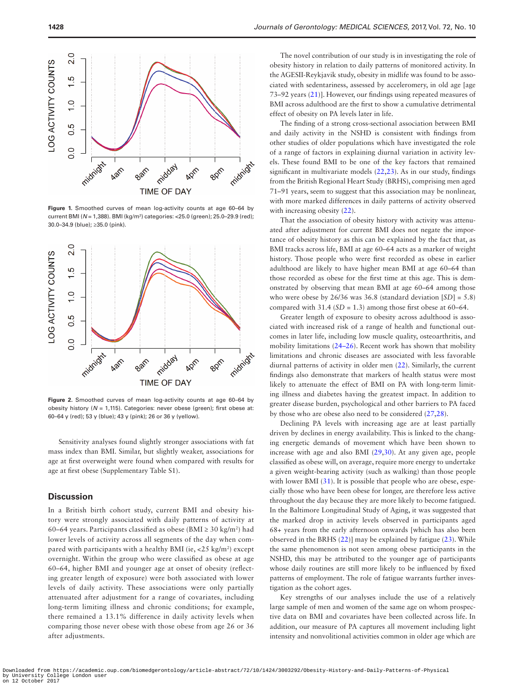

<span id="page-4-0"></span>**Figure 1.** Smoothed curves of mean log-activity counts at age 60–64 by current BMI (*N* = 1,388). BMI (kg/m2 ) categories: <25.0 (green); 25.0–29.9 (red); 30.0–34.9 (blue); ≥35.0 (pink).



<span id="page-4-1"></span>**Figure 2.** Smoothed curves of mean log-activity counts at age 60–64 by obesity history (*N* = 1,115). Categories: never obese (green); first obese at: 60–64 y (red); 53 y (blue); 43 y (pink); 26 or 36 y (yellow).

Sensitivity analyses found slightly stronger associations with fat mass index than BMI. Similar, but slightly weaker, associations for age at first overweight were found when compared with results for age at first obese (Supplementary Table S1).

#### **Discussion**

In a British birth cohort study, current BMI and obesity history were strongly associated with daily patterns of activity at 60–64 years. Participants classified as obese (BMI  $\geq$  30 kg/m<sup>2</sup>) had lower levels of activity across all segments of the day when compared with participants with a healthy BMI (ie,  $<$  25 kg/m<sup>2</sup>) except overnight. Within the group who were classified as obese at age 60–64, higher BMI and younger age at onset of obesity (reflecting greater length of exposure) were both associated with lower levels of daily activity. These associations were only partially attenuated after adjustment for a range of covariates, including long-term limiting illness and chronic conditions; for example, there remained a 13.1% difference in daily activity levels when comparing those never obese with those obese from age 26 or 36 after adjustments.

The novel contribution of our study is in investigating the role of obesity history in relation to daily patterns of monitored activity. In the AGESII-Reykjavik study, obesity in midlife was found to be associated with sedentariness, assessed by acceleromery, in old age [age 73–92 years ([21\)](#page-6-5)]. However, our findings using repeated measures of BMI across adulthood are the first to show a cumulative detrimental effect of obesity on PA levels later in life.

The finding of a strong cross-sectional association between BMI and daily activity in the NSHD is consistent with findings from other studies of older populations which have investigated the role of a range of factors in explaining diurnal variation in activity levels. These found BMI to be one of the key factors that remained significant in multivariate models [\(22](#page-6-6)[,23](#page-6-7)). As in our study, findings from the British Regional Heart Study (BRHS), comprising men aged 71–91 years, seem to suggest that this association may be nonlinear, with more marked differences in daily patterns of activity observed with increasing obesity  $(22)$  $(22)$ .

That the association of obesity history with activity was attenuated after adjustment for current BMI does not negate the importance of obesity history as this can be explained by the fact that, as BMI tracks across life, BMI at age 60–64 acts as a marker of weight history. Those people who were first recorded as obese in earlier adulthood are likely to have higher mean BMI at age 60–64 than those recorded as obese for the first time at this age. This is demonstrated by observing that mean BMI at age 60–64 among those who were obese by 26/36 was 36.8 (standard deviation [*SD*] = 5.8) compared with  $31.4$  ( $SD = 1.3$ ) among those first obese at  $60-64$ .

Greater length of exposure to obesity across adulthood is associated with increased risk of a range of health and functional outcomes in later life, including low muscle quality, osteoarthritis, and mobility limitations [\(24–26\)](#page-6-8). Recent work has shown that mobility limitations and chronic diseases are associated with less favorable diurnal patterns of activity in older men ([22\)](#page-6-6). Similarly, the current findings also demonstrate that markers of health status were most likely to attenuate the effect of BMI on PA with long-term limiting illness and diabetes having the greatest impact. In addition to greater disease burden, psychological and other barriers to PA faced by those who are obese also need to be considered ([27,](#page-6-9)[28\)](#page-6-10).

Declining PA levels with increasing age are at least partially driven by declines in energy availability. This is linked to the changing energetic demands of movement which have been shown to increase with age and also BMI [\(29](#page-6-11)[,30](#page-6-12)). At any given age, people classified as obese will, on average, require more energy to undertake a given weight-bearing activity (such as walking) than those people with lower BMI [\(31\)](#page-6-13). It is possible that people who are obese, especially those who have been obese for longer, are therefore less active throughout the day because they are more likely to become fatigued. In the Baltimore Longitudinal Study of Aging, it was suggested that the marked drop in activity levels observed in participants aged 68+ years from the early afternoon onwards [which has also been observed in the BRHS [\(22](#page-6-6))] may be explained by fatigue ([23\)](#page-6-7). While the same phenomenon is not seen among obese participants in the NSHD, this may be attributed to the younger age of participants whose daily routines are still more likely to be influenced by fixed patterns of employment. The role of fatigue warrants further investigation as the cohort ages.

Key strengths of our analyses include the use of a relatively large sample of men and women of the same age on whom prospective data on BMI and covariates have been collected across life. In addition, our measure of PA captures all movement including light intensity and nonvolitional activities common in older age which are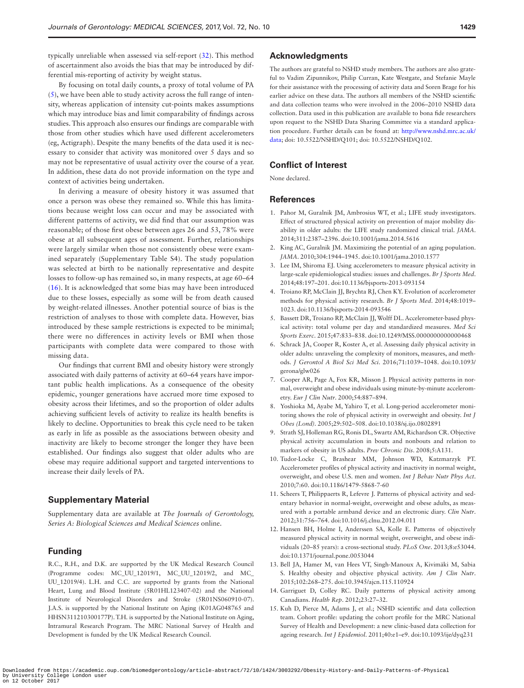typically unreliable when assessed via self-report ([32\)](#page-6-14). This method of ascertainment also avoids the bias that may be introduced by differential mis-reporting of activity by weight status.

By focusing on total daily counts, a proxy of total volume of PA [\(5\)](#page-5-6), we have been able to study activity across the full range of intensity, whereas application of intensity cut-points makes assumptions which may introduce bias and limit comparability of findings across studies. This approach also ensures our findings are comparable with those from other studies which have used different accelerometers (eg, Actigraph). Despite the many benefits of the data used it is necessary to consider that activity was monitored over 5 days and so may not be representative of usual activity over the course of a year. In addition, these data do not provide information on the type and context of activities being undertaken.

In deriving a measure of obesity history it was assumed that once a person was obese they remained so. While this has limitations because weight loss can occur and may be associated with different patterns of activity, we did find that our assumption was reasonable; of those first obese between ages 26 and 53, 78% were obese at all subsequent ages of assessment. Further, relationships were largely similar when those not consistently obese were examined separately (Supplementary Table S4). The study population was selected at birth to be nationally representative and despite losses to follow-up has remained so, in many respects, at age 60–64 [\(16](#page-6-0)). It is acknowledged that some bias may have been introduced due to these losses, especially as some will be from death caused by weight-related illnesses. Another potential source of bias is the restriction of analyses to those with complete data. However, bias introduced by these sample restrictions is expected to be minimal; there were no differences in activity levels or BMI when those participants with complete data were compared to those with missing data.

Our findings that current BMI and obesity history were strongly associated with daily patterns of activity at 60–64 years have important public health implications. As a consequence of the obesity epidemic, younger generations have accrued more time exposed to obesity across their lifetimes, and so the proportion of older adults achieving sufficient levels of activity to realize its health benefits is likely to decline. Opportunities to break this cycle need to be taken as early in life as possible as the associations between obesity and inactivity are likely to become stronger the longer they have been established. Our findings also suggest that older adults who are obese may require additional support and targeted interventions to increase their daily levels of PA.

#### **Supplementary Material**

Supplementary data are available at *The Journals of Gerontology, Series A: Biological Sciences and Medical Sciences* online.

## **Funding**

R.C., R.H., and D.K. are supported by the UK Medical Research Council (Programme codes: MC\_UU\_12019/1, MC\_UU\_12019/2, and MC\_ UU\_12019/4). L.H. and C.C. are supported by grants from the National Heart, Lung and Blood Institute (5R01HL123407-02) and the National Institute of Neurological Disorders and Stroke (5R01NS060910-07). J.A.S. is supported by the National Institute on Aging (K01AG048765 and HHSN311210300177P). T.H. is supported by the National Institute on Aging, Intramural Research Program. The MRC National Survey of Health and Development is funded by the UK Medical Research Council.

#### **Acknowledgments**

The authors are grateful to NSHD study members. The authors are also grateful to Vadim Zipunnikov, Philip Curran, Kate Westgate, and Stefanie Mayle for their assistance with the processing of activity data and Soren Brage for his earlier advice on these data. The authors all members of the NSHD scientific and data collection teams who were involved in the 2006–2010 NSHD data collection. Data used in this publication are available to bona fide researchers upon request to the NSHD Data Sharing Committee via a standard application procedure. Further details can be found at: [http://www.nshd.mrc.ac.uk/](http://www.nshd.mrc.ac.uk/data) [data;](http://www.nshd.mrc.ac.uk/data) doi: 10.5522/NSHD/Q101; doi: 10.5522/NSHD/Q102.

## **Conflict of Interest**

None declared.

#### **References**

- <span id="page-5-0"></span>1. Pahor M, Guralnik JM, Ambrosius WT, et al.; LIFE study investigators. Effect of structured physical activity on prevention of major mobility disability in older adults: the LIFE study randomized clinical trial. *JAMA*. 2014;311:2387–2396. doi:10.1001/jama.2014.5616
- <span id="page-5-1"></span>2. King AC, Guralnik JM. Maximizing the potential of an aging population. *JAMA*. 2010;304:1944–1945. doi:10.1001/jama.2010.1577
- <span id="page-5-2"></span>3. Lee IM, Shiroma EJ. Using accelerometers to measure physical activity in large-scale epidemiological studies: issues and challenges. *Br J Sports Med*. 2014;48:197–201. doi:10.1136/bjsports-2013-093154
- 4. Troiano RP, McClain JJ, Brychta RJ, Chen KY. Evolution of accelerometer methods for physical activity research. *Br J Sports Med*. 2014;48:1019– 1023. doi:10.1136/bjsports-2014-093546
- <span id="page-5-6"></span>5. Bassett DR, Troiano RP, McClain JJ, Wolff DL. Accelerometer-based physical activity: total volume per day and standardized measures. *Med Sci Sports Exerc*. 2015;47:833–838. doi:10.1249/MSS.0000000000000468
- <span id="page-5-3"></span>6. Schrack JA, Cooper R, Koster A, et al. Assessing daily physical activity in older adults: unraveling the complexity of monitors, measures, and methods. *J Gerontol A Biol Sci Med Sci*. 2016;71:1039–1048. doi:10.1093/ gerona/glw026
- <span id="page-5-4"></span>7. Cooper AR, Page A, Fox KR, Misson J. Physical activity patterns in normal, overweight and obese individuals using minute-by-minute accelerometry. *Eur J Clin Nutr*. 2000;54:887–894.
- 8. Yoshioka M, Ayabe M, Yahiro T, et al. Long-period accelerometer monitoring shows the role of physical activity in overweight and obesity. *Int J Obes (Lond)*. 2005;29:502–508. doi:10.1038/sj.ijo.0802891
- 9. Strath SJ, Holleman RG, Ronis DL, Swartz AM, Richardson CR. Objective physical activity accumulation in bouts and nonbouts and relation to markers of obesity in US adults. *Prev Chronic Dis*. 2008;5:A131.
- 10. Tudor-Locke C, Brashear MM, Johnson WD, Katzmarzyk PT. Accelerometer profiles of physical activity and inactivity in normal weight, overweight, and obese U.S. men and women. *Int J Behav Nutr Phys Act*. 2010;7:60. doi:10.1186/1479-5868-7-60
- 11. Scheers T, Philippaerts R, Lefevre J. Patterns of physical activity and sedentary behavior in normal-weight, overweight and obese adults, as measured with a portable armband device and an electronic diary. *Clin Nutr*. 2012;31:756–764. doi:10.1016/j.clnu.2012.04.011
- 12. Hansen BH, Holme I, Anderssen SA, Kolle E. Patterns of objectively measured physical activity in normal weight, overweight, and obese individuals (20–85 years): a cross-sectional study. *PLoS One*. 2013;8:e53044. doi:10.1371/journal.pone.0053044
- 13. Bell JA, Hamer M, van Hees VT, Singh-Manoux A, Kivimäki M, Sabia S. Healthy obesity and objective physical activity. *Am J Clin Nutr*. 2015;102:268–275. doi:10.3945/ajcn.115.110924
- 14. Garriguet D, Colley RC. Daily patterns of physical activity among Canadians. *Health Rep*. 2012;23:27–32.
- <span id="page-5-5"></span>15. Kuh D, Pierce M, Adams J, et al.; NSHD scientific and data collection team. Cohort profile: updating the cohort profile for the MRC National Survey of Health and Development: a new clinic-based data collection for ageing research. *Int J Epidemiol*. 2011;40:e1–e9. doi:10.1093/ije/dyq231